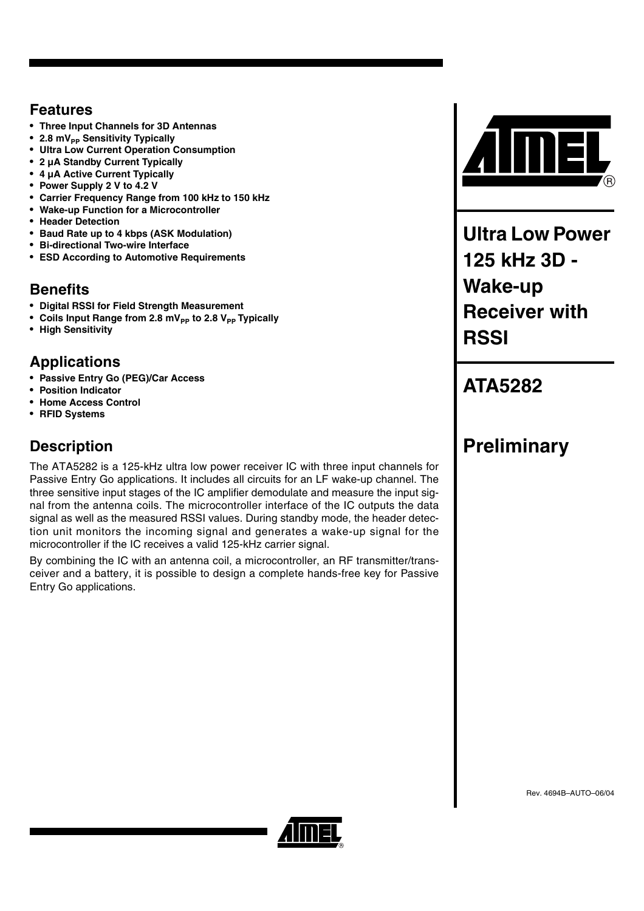## **Features**

- **Three Input Channels for 3D Antennas**
- 2.8 mV<sub>PP</sub> Sensitivity Typically
- **Ultra Low Current Operation Consumption**
- **2 µA Standby Current Typically**
- **4 µA Active Current Typically**
- **Power Supply 2 V to 4.2 V**
- **Carrier Frequency Range from 100 kHz to 150 kHz**
- **Wake-up Function for a Microcontroller**
- **Header Detection**
- **Baud Rate up to 4 kbps (ASK Modulation)**
- **Bi-directional Two-wire Interface**
- **ESD According to Automotive Requirements**

# **Benefits**

- **Digital RSSI for Field Strength Measurement**
- Coils Input Range from 2.8 mV<sub>pp</sub> to 2.8 V<sub>pp</sub> Typically
- **High Sensitivity**

# **Applications**

- **Passive Entry Go (PEG)/Car Access**
- **Position Indicator**
- **Home Access Control**
- **RFID Systems**

# **Description**

The ATA5282 is a 125-kHz ultra low power receiver IC with three input channels for Passive Entry Go applications. It includes all circuits for an LF wake-up channel. The three sensitive input stages of the IC amplifier demodulate and measure the input signal from the antenna coils. The microcontroller interface of the IC outputs the data signal as well as the measured RSSI values. During standby mode, the header detection unit monitors the incoming signal and generates a wake-up signal for the microcontroller if the IC receives a valid 125-kHz carrier signal.

By combining the IC with an antenna coil, a microcontroller, an RF transmitter/transceiver and a battery, it is possible to design a complete hands-free key for Passive Entry Go applications.



**Ultra Low Power 125 kHz 3D - Wake-up Receiver with RSSI**

# **ATA5282**

# **Preliminary**

Rev. 4694B–AUTO–06/04

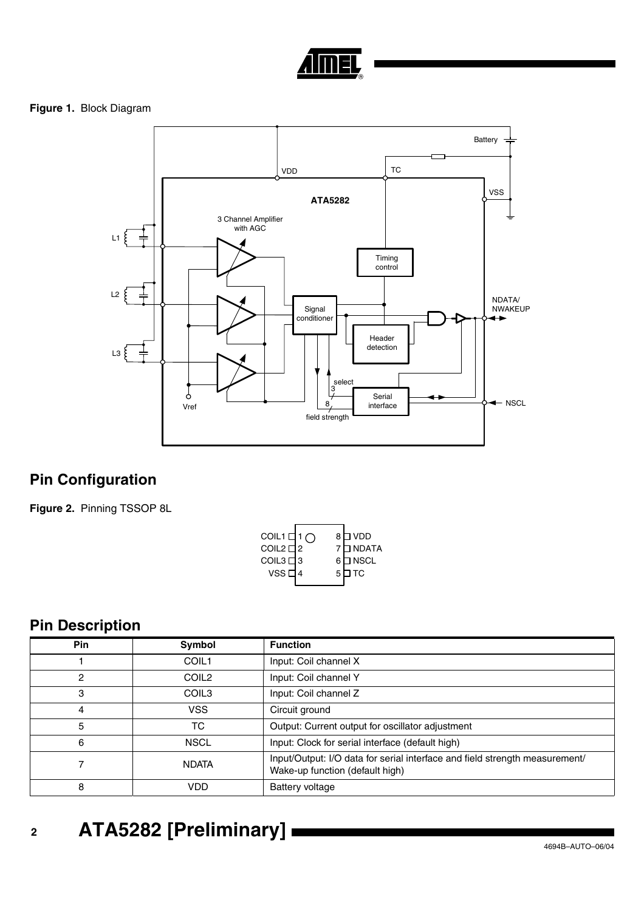

### **Figure 1.** Block Diagram



# **Pin Configuration**

**Figure 2.** Pinning TSSOP 8L

| COIL1 $\Box$ 1 $\cap$ |   | 8 □ VDD   |
|-----------------------|---|-----------|
| COIL2 디2              |   | 7 D NDATA |
| COIL3□3               |   | 6 □ NSCL  |
| vssd                  | 5 | 1 TC      |
|                       |   |           |

# **Pin Description**

| <b>Pin</b> | Symbol            | <b>Function</b>                                                                                                |  |  |  |
|------------|-------------------|----------------------------------------------------------------------------------------------------------------|--|--|--|
|            | COIL1             | Input: Coil channel X                                                                                          |  |  |  |
| 2          | COIL <sub>2</sub> | Input: Coil channel Y                                                                                          |  |  |  |
| 3          | COIL <sub>3</sub> | Input: Coil channel Z                                                                                          |  |  |  |
| 4          | <b>VSS</b>        | Circuit ground                                                                                                 |  |  |  |
| 5          | ТC                | Output: Current output for oscillator adjustment                                                               |  |  |  |
| 6          | <b>NSCL</b>       | Input: Clock for serial interface (default high)                                                               |  |  |  |
| 7          | <b>NDATA</b>      | Input/Output: I/O data for serial interface and field strength measurement/<br>Wake-up function (default high) |  |  |  |
| 8          | VDD               | Battery voltage                                                                                                |  |  |  |

# **<sup>2</sup> ATA5282 [Preliminary]**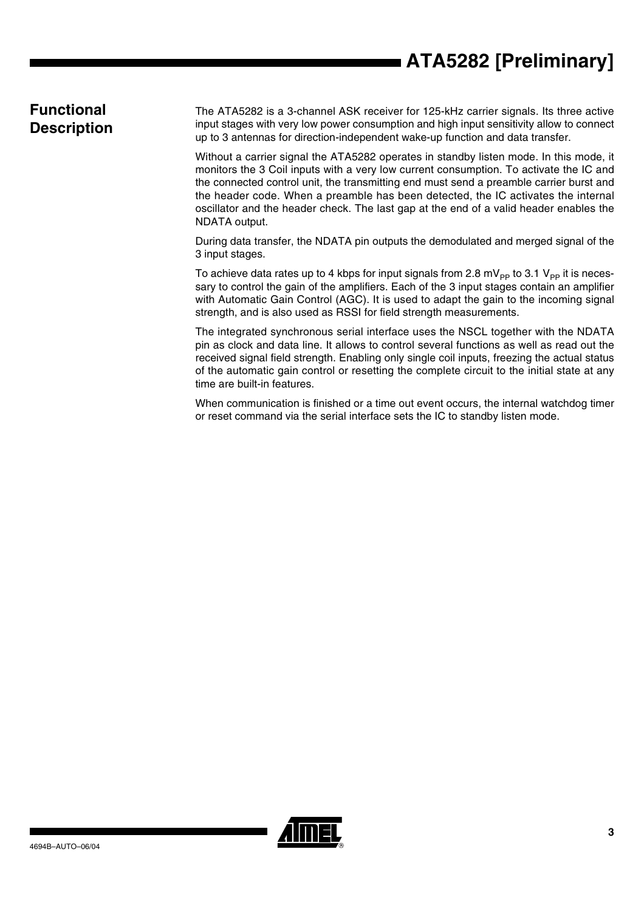# **ATA5282 [Preliminary]**

## **Functional Description**

The ATA5282 is a 3-channel ASK receiver for 125-kHz carrier signals. Its three active input stages with very low power consumption and high input sensitivity allow to connect up to 3 antennas for direction-independent wake-up function and data transfer.

Without a carrier signal the ATA5282 operates in standby listen mode. In this mode, it monitors the 3 Coil inputs with a very low current consumption. To activate the IC and the connected control unit, the transmitting end must send a preamble carrier burst and the header code. When a preamble has been detected, the IC activates the internal oscillator and the header check. The last gap at the end of a valid header enables the NDATA output.

During data transfer, the NDATA pin outputs the demodulated and merged signal of the 3 input stages.

To achieve data rates up to 4 kbps for input signals from 2.8 mV<sub>PP</sub> to 3.1 V<sub>PP</sub> it is necessary to control the gain of the amplifiers. Each of the 3 input stages contain an amplifier with Automatic Gain Control (AGC). It is used to adapt the gain to the incoming signal strength, and is also used as RSSI for field strength measurements.

The integrated synchronous serial interface uses the NSCL together with the NDATA pin as clock and data line. It allows to control several functions as well as read out the received signal field strength. Enabling only single coil inputs, freezing the actual status of the automatic gain control or resetting the complete circuit to the initial state at any time are built-in features.

When communication is finished or a time out event occurs, the internal watchdog timer or reset command via the serial interface sets the IC to standby listen mode.

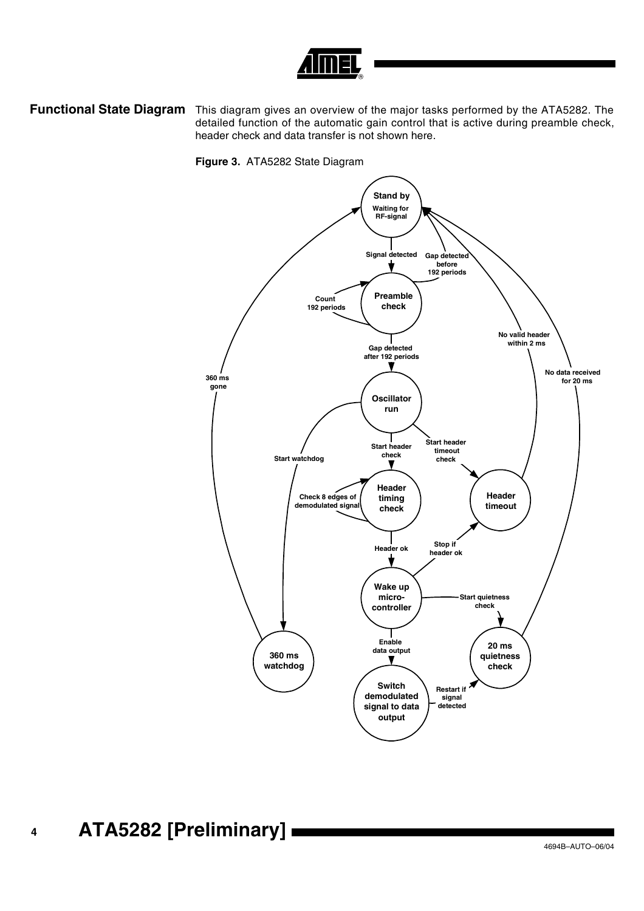

**Functional State Diagram** This diagram gives an overview of the major tasks performed by the ATA5282. The detailed function of the automatic gain control that is active during preamble check, header check and data transfer is not shown here.



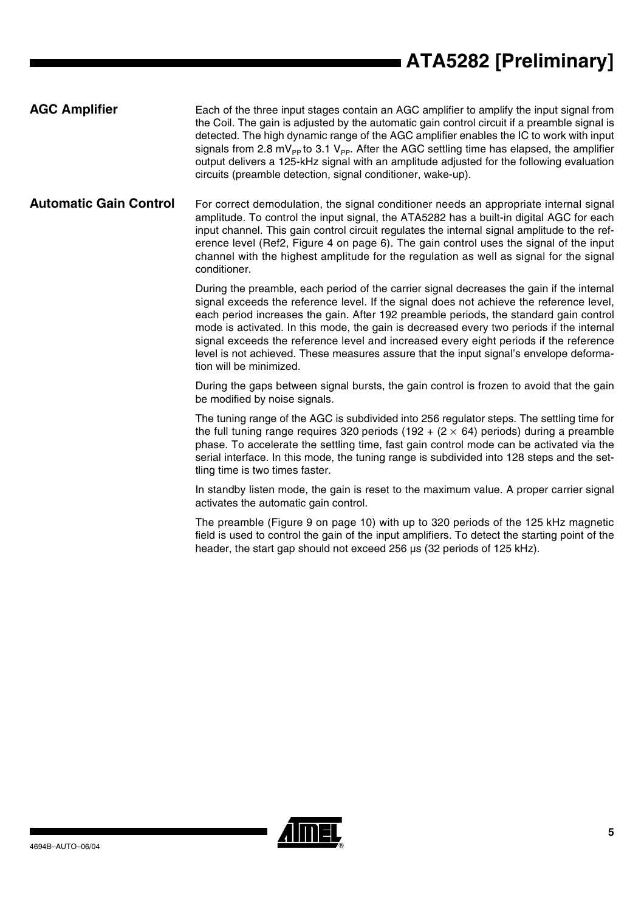### **AGC Amplifier** Each of the three input stages contain an AGC amplifier to amplify the input signal from the Coil. The gain is adjusted by the automatic gain control circuit if a preamble signal is detected. The high dynamic range of the AGC amplifier enables the IC to work with input signals from 2.8 mV<sub>PP</sub> to 3.1 V<sub>PP</sub>. After the AGC settling time has elapsed, the amplifier output delivers a 125-kHz signal with an amplitude adjusted for the following evaluation circuits (preamble detection, signal conditioner, wake-up).

**Automatic Gain Control** For correct demodulation, the signal conditioner needs an appropriate internal signal amplitude. To control the input signal, the ATA5282 has a built-in digital AGC for each input channel. This gain control circuit regulates the internal signal amplitude to the reference level (Ref2, Figure 4 on page 6). The gain control uses the signal of the input channel with the highest amplitude for the regulation as well as signal for the signal conditioner.

> During the preamble, each period of the carrier signal decreases the gain if the internal signal exceeds the reference level. If the signal does not achieve the reference level, each period increases the gain. After 192 preamble periods, the standard gain control mode is activated. In this mode, the gain is decreased every two periods if the internal signal exceeds the reference level and increased every eight periods if the reference level is not achieved. These measures assure that the input signal's envelope deformation will be minimized.

> During the gaps between signal bursts, the gain control is frozen to avoid that the gain be modified by noise signals.

> The tuning range of the AGC is subdivided into 256 regulator steps. The settling time for the full tuning range requires 320 periods (192 +  $(2 \times 64)$  periods) during a preamble phase. To accelerate the settling time, fast gain control mode can be activated via the serial interface. In this mode, the tuning range is subdivided into 128 steps and the settling time is two times faster.

> In standby listen mode, the gain is reset to the maximum value. A proper carrier signal activates the automatic gain control.

> The preamble (Figure 9 on page 10) with up to 320 periods of the 125 kHz magnetic field is used to control the gain of the input amplifiers. To detect the starting point of the header, the start gap should not exceed 256 µs (32 periods of 125 kHz).

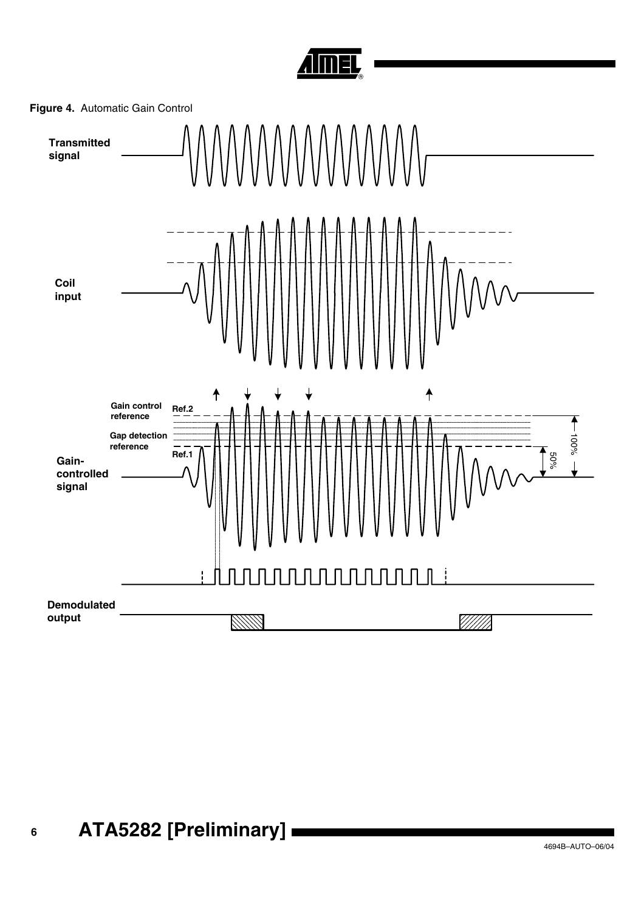



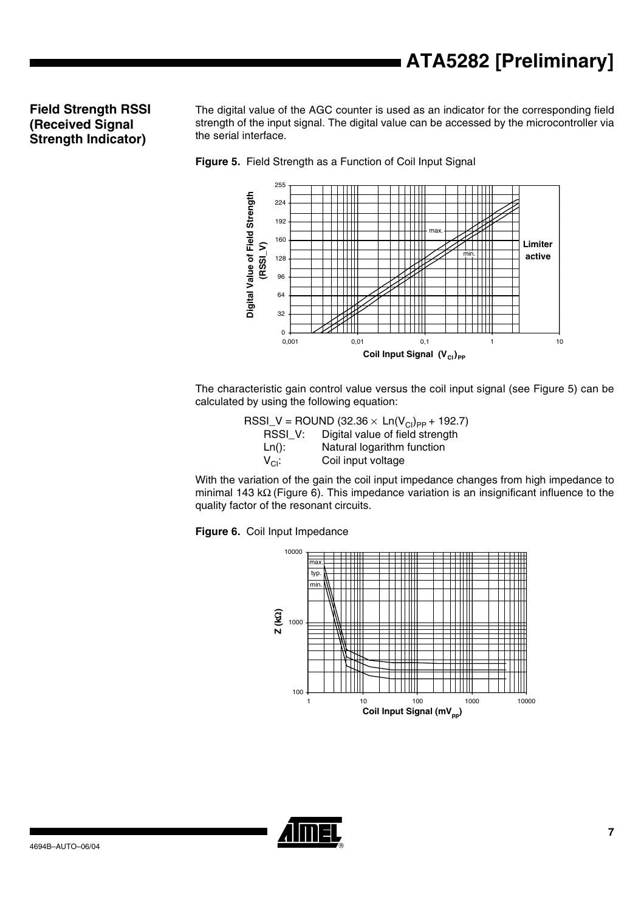### **Field Strength RSSI (Received Signal Strength Indicator)**

The digital value of the AGC counter is used as an indicator for the corresponding field strength of the input signal. The digital value can be accessed by the microcontroller via the serial interface.





The characteristic gain control value versus the coil input signal (see Figure 5) can be calculated by using the following equation:

> RSSI\_V = ROUND (32.36  $\times$  Ln(V<sub>CI</sub>)<sub>PP</sub> + 192.7)<br>RSSI V: Digital value of field strength Digital value of field strength Ln(): Natural logarithm function  $V_{\text{Cl}}$ : Coil input voltage

With the variation of the gain the coil input impedance changes from high impedance to minimal 143 kΩ (Figure 6). This impedance variation is an insignificant influence to the quality factor of the resonant circuits.

**Figure 6.** Coil Input Impedance



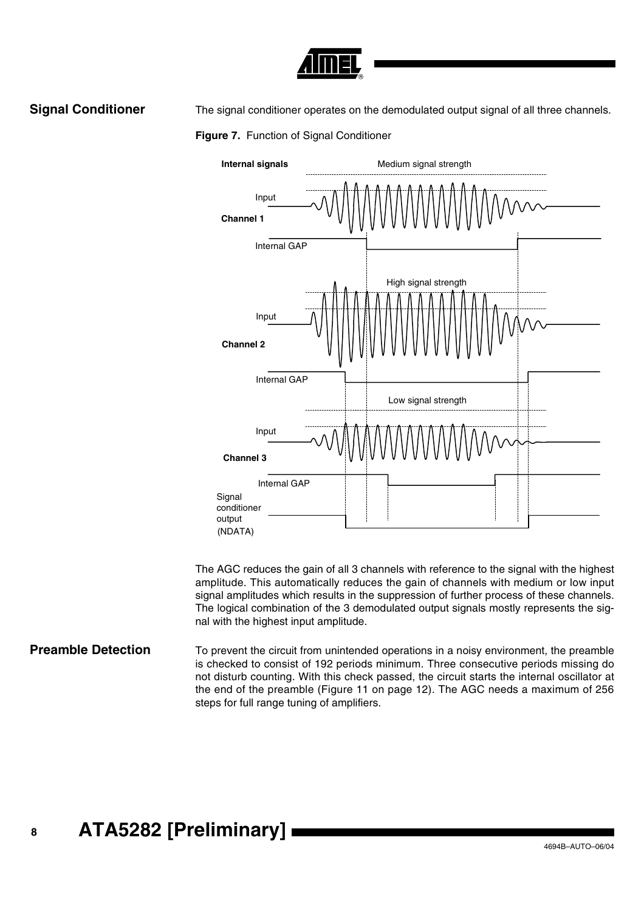

**Signal Conditioner** The signal conditioner operates on the demodulated output signal of all three channels.





The AGC reduces the gain of all 3 channels with reference to the signal with the highest amplitude. This automatically reduces the gain of channels with medium or low input signal amplitudes which results in the suppression of further process of these channels. The logical combination of the 3 demodulated output signals mostly represents the signal with the highest input amplitude.

**Preamble Detection** To prevent the circuit from unintended operations in a noisy environment, the preamble is checked to consist of 192 periods minimum. Three consecutive periods missing do not disturb counting. With this check passed, the circuit starts the internal oscillator at the end of the preamble (Figure 11 on page 12). The AGC needs a maximum of 256 steps for full range tuning of amplifiers.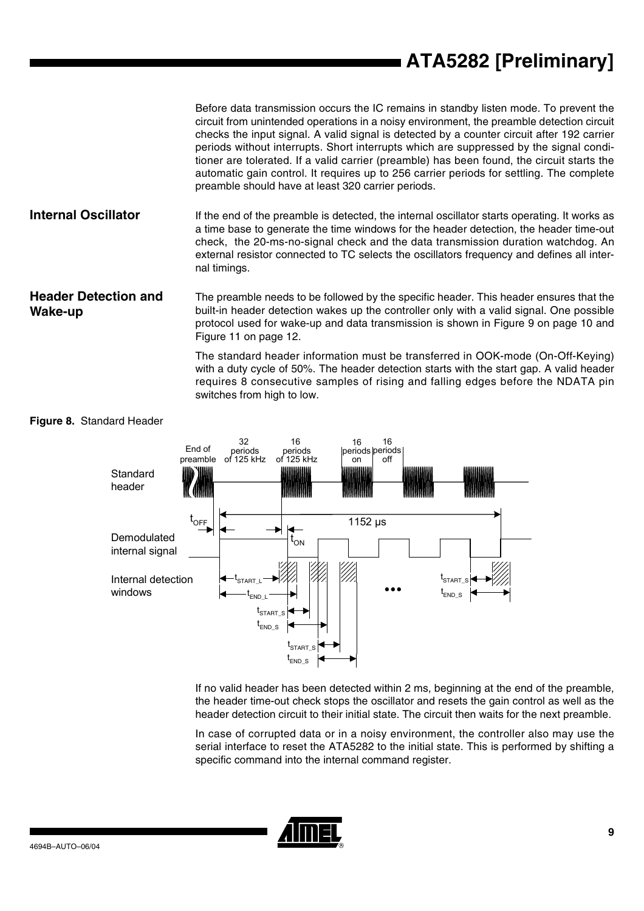Before data transmission occurs the IC remains in standby listen mode. To prevent the circuit from unintended operations in a noisy environment, the preamble detection circuit checks the input signal. A valid signal is detected by a counter circuit after 192 carrier periods without interrupts. Short interrupts which are suppressed by the signal conditioner are tolerated. If a valid carrier (preamble) has been found, the circuit starts the automatic gain control. It requires up to 256 carrier periods for settling. The complete preamble should have at least 320 carrier periods.

**Internal Oscillator** If the end of the preamble is detected, the internal oscillator starts operating. It works as a time base to generate the time windows for the header detection, the header time-out check, the 20-ms-no-signal check and the data transmission duration watchdog. An external resistor connected to TC selects the oscillators frequency and defines all internal timings.

**Header Detection and Wake-up** The preamble needs to be followed by the specific header. This header ensures that the built-in header detection wakes up the controller only with a valid signal. One possible protocol used for wake-up and data transmission is shown in Figure 9 on page 10 and Figure 11 on page 12.

> The standard header information must be transferred in OOK-mode (On-Off-Keying) with a duty cycle of 50%. The header detection starts with the start gap. A valid header requires 8 consecutive samples of rising and falling edges before the NDATA pin switches from high to low.



#### <span id="page-8-0"></span>**Figure 8.** Standard Header

If no valid header has been detected within 2 ms, beginning at the end of the preamble, the header time-out check stops the oscillator and resets the gain control as well as the header detection circuit to their initial state. The circuit then waits for the next preamble.

In case of corrupted data or in a noisy environment, the controller also may use the serial interface to reset the ATA5282 to the initial state. This is performed by shifting a specific command into the internal command register.

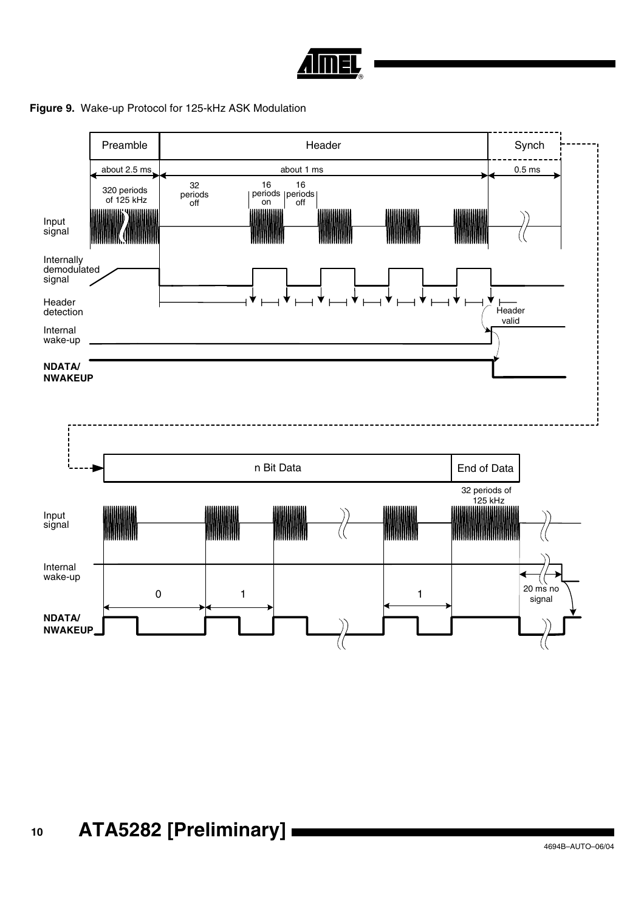

#### **Figure 9.** Wake-up Protocol for 125-kHz ASK Modulation

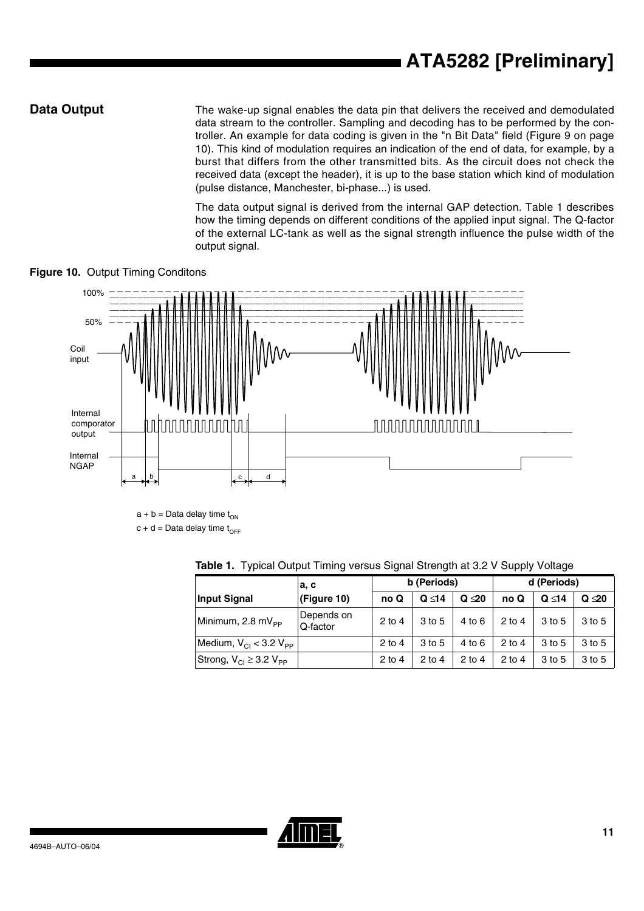**Data Output** The wake-up signal enables the data pin that delivers the received and demodulated data stream to the controller. Sampling and decoding has to be performed by the controller. An example for data coding is given in the "n Bit Data" field (Figure 9 on page 10). This kind of modulation requires an indication of the end of data, for example, by a burst that differs from the other transmitted bits. As the circuit does not check the received data (except the header), it is up to the base station which kind of modulation (pulse distance, Manchester, bi-phase...) is used.

> The data output signal is derived from the internal GAP detection. Table 1 describes how the timing depends on different conditions of the applied input signal. The Q-factor of the external LC-tank as well as the signal strength influence the pulse width of the output signal.



**Figure 10.** Output Timing Conditons

 $a + b =$  Data delay time  $t_{ON}$  $c + d =$ Data delay time t<sub>OFF</sub>

|                                                | a, c                   | b (Periods) |             |             | d (Periods) |             |             |  |
|------------------------------------------------|------------------------|-------------|-------------|-------------|-------------|-------------|-------------|--|
| <b>Input Signal</b>                            | (Figure 10)            | no Q        | $Q \leq 14$ | $Q \leq 20$ | no Q        | $Q \leq 14$ | $Q \leq 20$ |  |
| Minimum, 2.8 mV <sub>PP</sub>                  | Depends on<br>Q-factor | $2$ to 4    | 3 to 5      | $4$ to $6$  | $2$ to 4    | 3 to 5      | 3 to 5      |  |
| Medium, $V_{\text{Cl}}$ < 3.2 $V_{\text{PP}}$  |                        | $2$ to 4    | 3 to 5      | $4$ to 6    | $2$ to 4    | 3 to 5      | 3 to 5      |  |
| Strong, $V_{\text{Cl}} \geq 3.2 V_{\text{PP}}$ |                        | $2$ to 4    | $2$ to 4    | $2$ to 4    | $2$ to 4    | 3 to 5      | 3 to 5      |  |

**Table 1.** Typical Output Timing versus Signal Strength at 3.2 V Supply Voltage

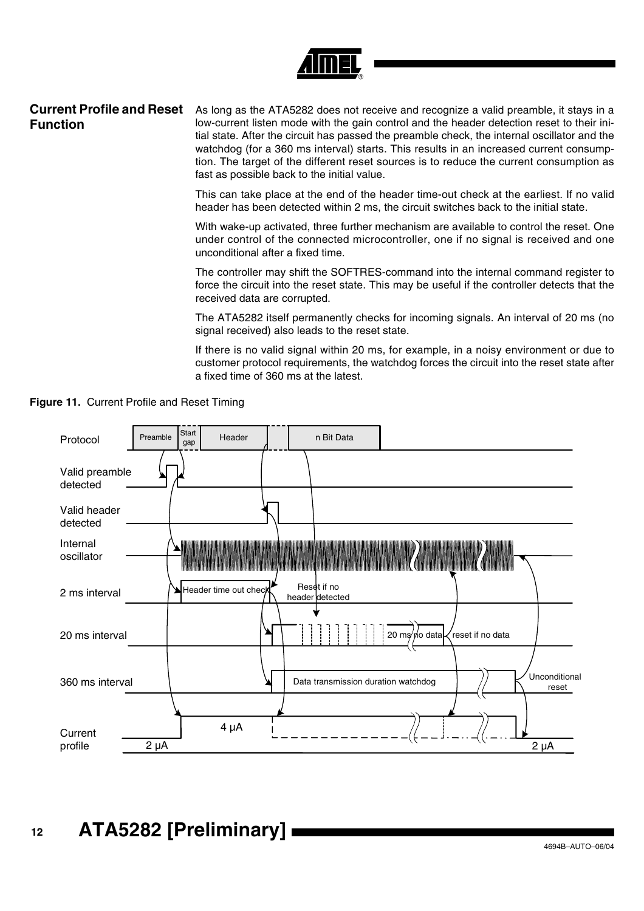

### **Current Profile and Reset Function**

As long as the ATA5282 does not receive and recognize a valid preamble, it stays in a low-current listen mode with the gain control and the header detection reset to their initial state. After the circuit has passed the preamble check, the internal oscillator and the watchdog (for a 360 ms interval) starts. This results in an increased current consumption. The target of the different reset sources is to reduce the current consumption as fast as possible back to the initial value.

This can take place at the end of the header time-out check at the earliest. If no valid header has been detected within 2 ms, the circuit switches back to the initial state.

With wake-up activated, three further mechanism are available to control the reset. One under control of the connected microcontroller, one if no signal is received and one unconditional after a fixed time.

The controller may shift the SOFTRES-command into the internal command register to force the circuit into the reset state. This may be useful if the controller detects that the received data are corrupted.

The ATA5282 itself permanently checks for incoming signals. An interval of 20 ms (no signal received) also leads to the reset state.

If there is no valid signal within 20 ms, for example, in a noisy environment or due to customer protocol requirements, the watchdog forces the circuit into the reset state after a fixed time of 360 ms at the latest.



**Figure 11.** Current Profile and Reset Timing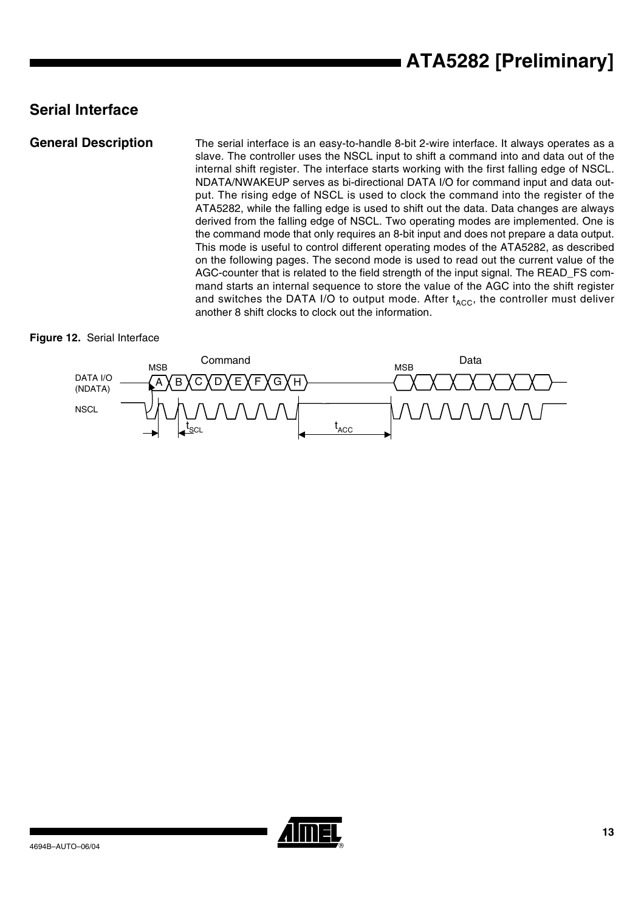## **Serial Interface**

**General Description** The serial interface is an easy-to-handle 8-bit 2-wire interface. It always operates as a slave. The controller uses the NSCL input to shift a command into and data out of the internal shift register. The interface starts working with the first falling edge of NSCL. NDATA/NWAKEUP serves as bi-directional DATA I/O for command input and data output. The rising edge of NSCL is used to clock the command into the register of the ATA5282, while the falling edge is used to shift out the data. Data changes are always derived from the falling edge of NSCL. Two operating modes are implemented. One is the command mode that only requires an 8-bit input and does not prepare a data output. This mode is useful to control different operating modes of the ATA5282, as described on the following pages. The second mode is used to read out the current value of the AGC-counter that is related to the field strength of the input signal. The READ\_FS command starts an internal sequence to store the value of the AGC into the shift register and switches the DATA I/O to output mode. After  $t_{ACC}$ , the controller must deliver another 8 shift clocks to clock out the information.

#### **Figure 12.** Serial Interface



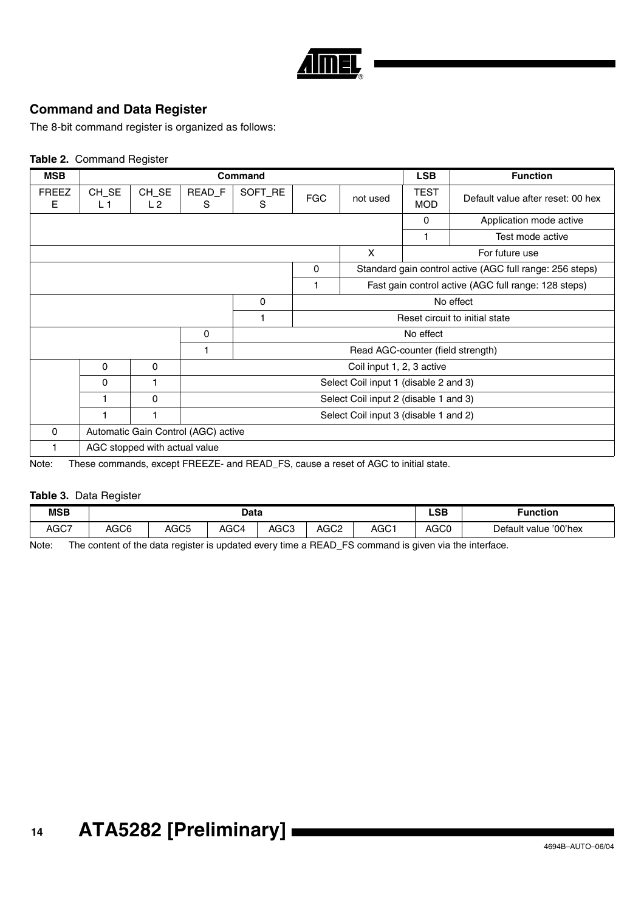

### **Command and Data Register**

The 8-bit command register is organized as follows:

#### **Table 2.** Command Register

| <b>MSB</b>        |                                                                                    |                               |                                       | <b>Command</b>                        |            |                                       | <b>LSB</b>                | <b>Function</b>                                          |  |
|-------------------|------------------------------------------------------------------------------------|-------------------------------|---------------------------------------|---------------------------------------|------------|---------------------------------------|---------------------------|----------------------------------------------------------|--|
| <b>FREEZ</b><br>Е | CH_SE<br>L 1                                                                       | CH_SE<br>L 2                  | READ F<br>S.                          | SOFT_RE<br>S                          | <b>FGC</b> | not used                              | <b>TEST</b><br><b>MOD</b> | Default value after reset: 00 hex                        |  |
|                   |                                                                                    |                               |                                       |                                       |            |                                       | 0                         | Application mode active                                  |  |
|                   |                                                                                    |                               |                                       |                                       |            |                                       | 1                         | Test mode active                                         |  |
| X                 |                                                                                    |                               |                                       |                                       |            |                                       | For future use            |                                                          |  |
| 0                 |                                                                                    |                               |                                       |                                       |            |                                       |                           | Standard gain control active (AGC full range: 256 steps) |  |
|                   |                                                                                    |                               |                                       |                                       |            |                                       |                           | Fast gain control active (AGC full range: 128 steps)     |  |
| 0                 |                                                                                    |                               |                                       |                                       |            | No effect                             |                           |                                                          |  |
|                   |                                                                                    |                               |                                       |                                       |            |                                       |                           | Reset circuit to initial state                           |  |
|                   |                                                                                    |                               | 0                                     |                                       |            |                                       | No effect                 |                                                          |  |
|                   |                                                                                    |                               |                                       |                                       |            | Read AGC-counter (field strength)     |                           |                                                          |  |
|                   | $\mathbf{0}$                                                                       | 0                             |                                       |                                       |            | Coil input 1, 2, 3 active             |                           |                                                          |  |
|                   | 0                                                                                  |                               |                                       |                                       |            | Select Coil input 1 (disable 2 and 3) |                           |                                                          |  |
|                   |                                                                                    | 0                             |                                       | Select Coil input 2 (disable 1 and 3) |            |                                       |                           |                                                          |  |
|                   |                                                                                    |                               | Select Coil input 3 (disable 1 and 2) |                                       |            |                                       |                           |                                                          |  |
| $\Omega$          |                                                                                    |                               | Automatic Gain Control (AGC) active   |                                       |            |                                       |                           |                                                          |  |
|                   |                                                                                    | AGC stopped with actual value |                                       |                                       |            |                                       |                           |                                                          |  |
| N                 | These commands, execut EDEEZE, and DEAD, ES, cause a reset of ACC to initial state |                               |                                       |                                       |            |                                       |                           |                                                          |  |

Note: These commands, except FREEZE- and READ\_FS, cause a reset of AGC to initial state.

#### **Table 3.** Data Register

| <b>MSB</b> | Data |                  |      |                  |      |      | LSB<br>$-$       | Function                 |
|------------|------|------------------|------|------------------|------|------|------------------|--------------------------|
| AGC7       | AGC6 | AGC <sub>5</sub> | AGC4 | AGC <sub>3</sub> | AGC2 | AGC1 | AGC <sub>0</sub> | '00'hex<br>Default value |

Note: The content of the data register is updated every time a READ\_FS command is given via the interface.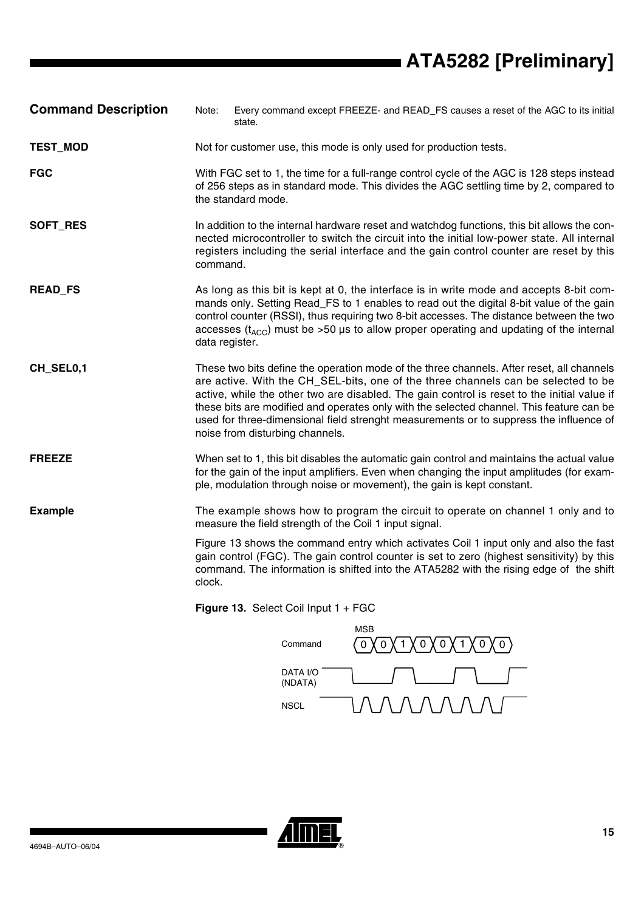# **ATA5282 [Preliminary]**

- **Command Description** Note: Every command except FREEZE- and READ\_FS causes a reset of the AGC to its initial state.
- **TEST\_MOD** Not for customer use, this mode is only used for production tests.
- **FGC** With FGC set to 1, the time for a full-range control cycle of the AGC is 128 steps instead of 256 steps as in standard mode. This divides the AGC settling time by 2, compared to the standard mode.
- **SOFT\_RES** In addition to the internal hardware reset and watchdog functions, this bit allows the connected microcontroller to switch the circuit into the initial low-power state. All internal registers including the serial interface and the gain control counter are reset by this command.
- **READ FS** As long as this bit is kept at 0, the interface is in write mode and accepts 8-bit commands only. Setting Read\_FS to 1 enables to read out the digital 8-bit value of the gain control counter (RSSI), thus requiring two 8-bit accesses. The distance between the two accesses ( $t_{\text{ACC}}$ ) must be >50 µs to allow proper operating and updating of the internal data register.
- **CH\_SEL0,1** These two bits define the operation mode of the three channels. After reset, all channels are active. With the CH\_SEL-bits, one of the three channels can be selected to be active, while the other two are disabled. The gain control is reset to the initial value if these bits are modified and operates only with the selected channel. This feature can be used for three-dimensional field strenght measurements or to suppress the influence of noise from disturbing channels.
- **FREEZE** When set to 1, this bit disables the automatic gain control and maintains the actual value for the gain of the input amplifiers. Even when changing the input amplitudes (for example, modulation through noise or movement), the gain is kept constant.
- **Example** The example shows how to program the circuit to operate on channel 1 only and to measure the field strength of the Coil 1 input signal.
	- Figure 13 shows the command entry which activates Coil 1 input only and also the fast gain control (FGC). The gain control counter is set to zero (highest sensitivity) by this command. The information is shifted into the ATA5282 with the rising edge of the shift clock.

**Figure 13.** Select Coil Input 1 + FGC



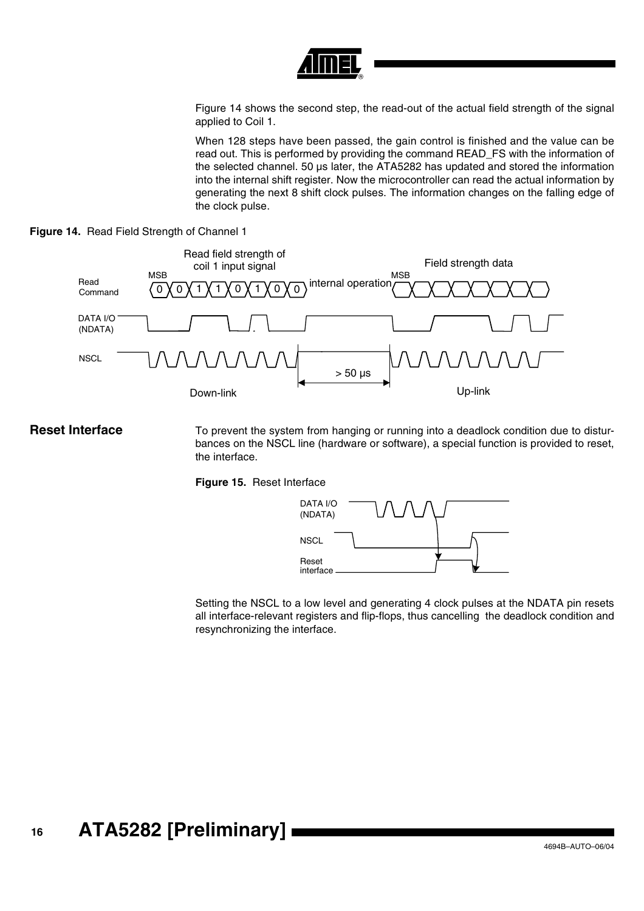

Figure 14 shows the second step, the read-out of the actual field strength of the signal applied to Coil 1.

When 128 steps have been passed, the gain control is finished and the value can be read out. This is performed by providing the command READ\_FS with the information of the selected channel. 50 µs later, the ATA5282 has updated and stored the information into the internal shift register. Now the microcontroller can read the actual information by generating the next 8 shift clock pulses. The information changes on the falling edge of the clock pulse.





**Reset Interface** To prevent the system from hanging or running into a deadlock condition due to disturbances on the NSCL line (hardware or software), a special function is provided to reset, the interface.

**Figure 15.** Reset Interface



Setting the NSCL to a low level and generating 4 clock pulses at the NDATA pin resets all interface-relevant registers and flip-flops, thus cancelling the deadlock condition and resynchronizing the interface.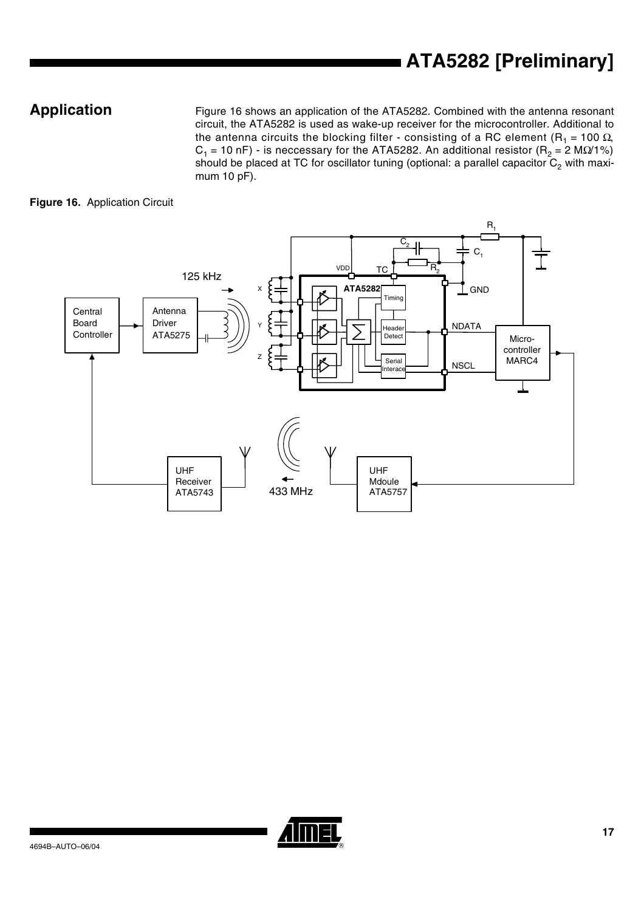**Application** Figure 16 shows an application of the ATA5282. Combined with the antenna resonant circuit, the ATA5282 is used as wake-up receiver for the microcontroller. Additional to the antenna circuits the blocking filter - consisting of a RC element (R<sub>1</sub> = 100  $\Omega$ , C<sub>1</sub> = 10 nF) - is neccessary for the ATA5282. An additional resistor (R<sub>2</sub> = 2 MΩ/1%) should be placed at TC for oscillator tuning (optional: a parallel capacitor  $C_2$  with maximum 10 pF).

### **Figure 16.** Application Circuit



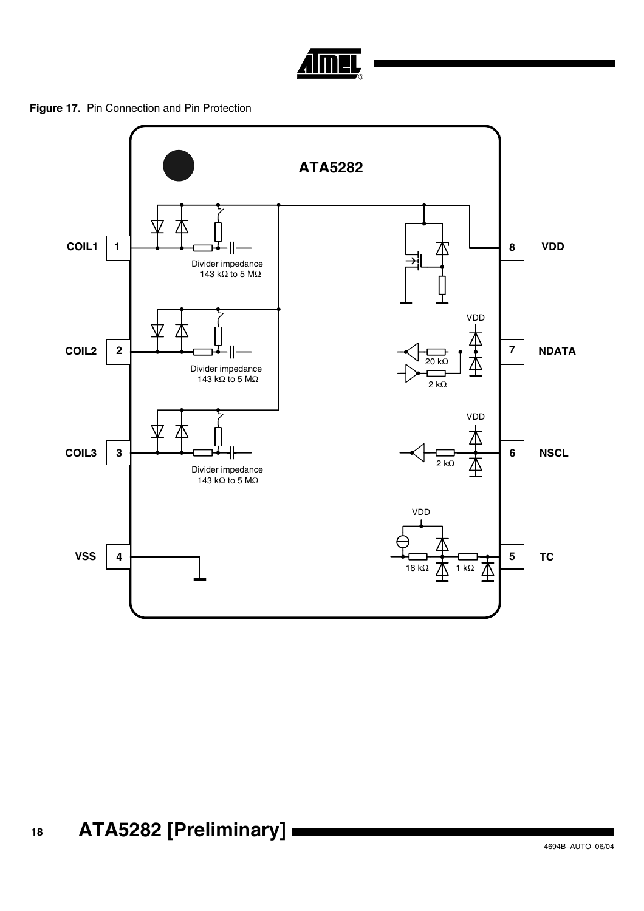

**Figure 17.** Pin Connection and Pin Protection

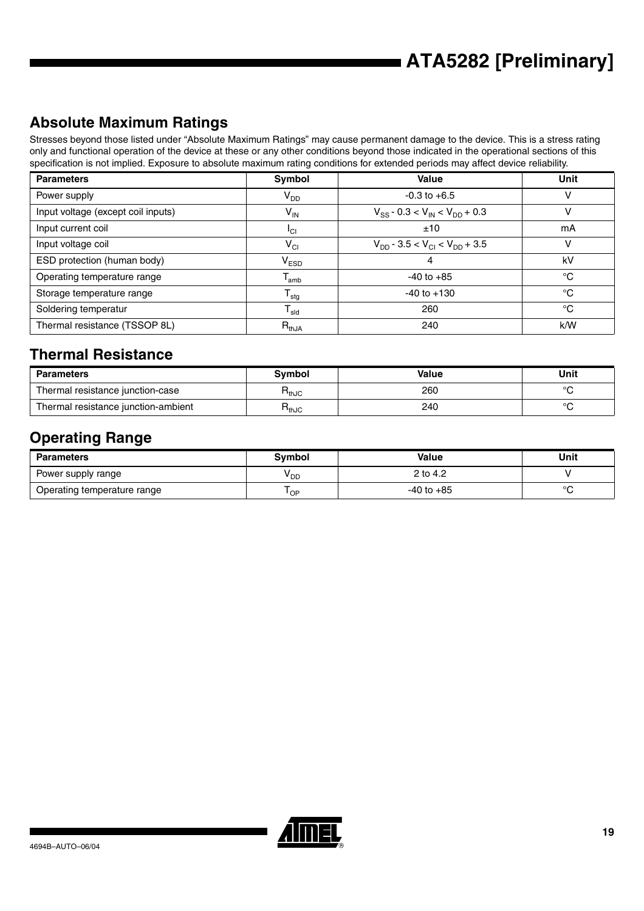# **Absolute Maximum Ratings**

Stresses beyond those listed under "Absolute Maximum Ratings" may cause permanent damage to the device. This is a stress rating only and functional operation of the device at these or any other conditions beyond those indicated in the operational sections of this specification is not implied. Exposure to absolute maximum rating conditions for extended periods may affect device reliability.

| <b>Parameters</b>                  | Symbol                      | <b>Value</b>                               | Unit        |
|------------------------------------|-----------------------------|--------------------------------------------|-------------|
| Power supply                       | $V_{DD}$                    | $-0.3$ to $+6.5$                           | ν           |
| Input voltage (except coil inputs) | $V_{\sf IN}$                | $V_{SS}$ - 0.3 < $V_{IN}$ < $V_{DD}$ + 0.3 |             |
| Input current coil                 | <sup>I</sup> CI             | ±10                                        | mA          |
| Input voltage coil                 | $\mathsf{V}_{\mathsf{CI}}$  | $V_{DD}$ - 3.5 < $V_{CI}$ < $V_{DD}$ + 3.5 | ν           |
| ESD protection (human body)        | $\mathsf{V}_{\mathsf{ESD}}$ | 4                                          | kV          |
| Operating temperature range        | $T_{amb}$                   | $-40$ to $+85$                             | °C          |
| Storage temperature range          | $T_{\text{stg}}$            | $-40$ to $+130$                            | $^{\circ}C$ |
| Soldering temperatur               | ${\sf T}_{\sf sld}$         | 260                                        | °C          |
| Thermal resistance (TSSOP 8L)      | $R_{thJA}$                  | 240                                        | k/W         |

## **Thermal Resistance**

| <b>Parameters</b>                   | Svmbol            | Value | Unit    |
|-------------------------------------|-------------------|-------|---------|
| Thermal resistance junction-case    | า <sub>thJC</sub> | 260   | $\circ$ |
| Thermal resistance junction-ambient | ™thJC             | 240   | $\circ$ |

# **Operating Range**

| Parameters                  | <b>Symbol</b> | <b>Value</b>   | Unit    |
|-----------------------------|---------------|----------------|---------|
| Power supply range          | y dd          | 2 to 4.2       |         |
| Operating temperature range | ' OP          | $-40$ to $+85$ | $\circ$ |

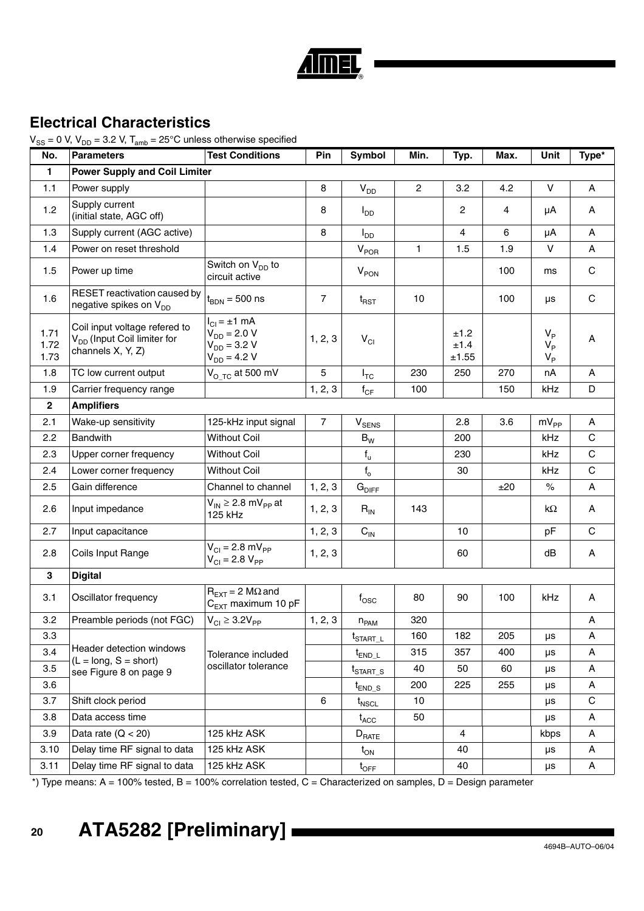

# **Electrical Characteristics**

 $V_{SS}$  = 0 V,  $V_{DD}$  = 3.2 V,  $T_{amb}$  = 25°C unless otherwise specified

| No.                  | <b>Parameters</b>                                                                             | <b>Test Conditions</b>                                                             | Pin            | Symbol                            | Min.           | Typ.                  | Max. | Unit                                      | Type*        |
|----------------------|-----------------------------------------------------------------------------------------------|------------------------------------------------------------------------------------|----------------|-----------------------------------|----------------|-----------------------|------|-------------------------------------------|--------------|
| $\mathbf{1}$         | <b>Power Supply and Coil Limiter</b>                                                          |                                                                                    |                |                                   |                |                       |      |                                           |              |
| 1.1                  | Power supply                                                                                  |                                                                                    | 8              | $V_{DD}$                          | $\overline{2}$ | 3.2                   | 4.2  | $\mathsf{V}$                              | A            |
| 1.2                  | Supply current<br>(initial state, AGC off)                                                    |                                                                                    | 8              | $I_{DD}$                          |                | $\overline{2}$        | 4    | μA                                        | A            |
| 1.3                  | Supply current (AGC active)                                                                   |                                                                                    | 8              | $I_{DD}$                          |                | 4                     | 6    | μA                                        | A            |
| 1.4                  | Power on reset threshold                                                                      |                                                                                    |                | $V_{POR}$                         | $\mathbf{1}$   | 1.5                   | 1.9  | $\vee$                                    | A            |
| 1.5                  | Power up time                                                                                 | Switch on $V_{DD}$ to<br>circuit active                                            |                | V <sub>PON</sub>                  |                |                       | 100  | ms                                        | $\mathbf C$  |
| 1.6                  | RESET reactivation caused by<br>negative spikes on V <sub>DD</sub>                            | $t_{\text{BDN}} = 500$ ns                                                          | $\overline{7}$ | $t_{\sf RST}$                     | 10             |                       | 100  | $\mu s$                                   | $\mathbf C$  |
| 1.71<br>1.72<br>1.73 | Coil input voltage refered to<br>V <sub>DD</sub> (Input Coil limiter for<br>channels X, Y, Z) | $I_{Cl} = \pm 1$ mA<br>$V_{DD} = 2.0 V$<br>$V_{DD} = 3.2 V$<br>$V_{DD} = 4.2 V$    | 1, 2, 3        | $V_{CI}$                          |                | ±1.2<br>±1.4<br>±1.55 |      | $V_{\rm p}$<br>$V_{\rm p}$<br>$V_{\rm p}$ | А            |
| 1.8                  | TC low current output                                                                         | $Vo TC$ at 500 mV                                                                  | 5              | $I_{TC}$                          | 230            | 250                   | 270  | nA                                        | A            |
| 1.9                  | Carrier frequency range                                                                       |                                                                                    | 1, 2, 3        | $f_{CF}$                          | 100            |                       | 150  | kHz                                       | D            |
| $\mathbf{2}$         | <b>Amplifiers</b>                                                                             |                                                                                    |                |                                   |                |                       |      |                                           |              |
| 2.1                  | Wake-up sensitivity                                                                           | 125-kHz input signal                                                               | $\overline{7}$ | $\mathsf{V}_{\mathsf{SENS}}$      |                | 2.8                   | 3.6  | $mV_{PP}$                                 | A            |
| 2.2                  | <b>Bandwith</b>                                                                               | <b>Without Coil</b>                                                                |                | $B_W$                             |                | 200                   |      | kHz                                       | $\mathsf{C}$ |
| 2.3                  | Upper corner frequency                                                                        | <b>Without Coil</b>                                                                |                | $f_{u}$                           |                | 230                   |      | kHz                                       | $\mathsf{C}$ |
| 2.4                  | Lower corner frequency                                                                        | <b>Without Coil</b>                                                                |                | $f_{o}$                           |                | 30                    |      | kHz                                       | $\mathsf{C}$ |
| 2.5                  | Gain difference                                                                               | Channel to channel                                                                 | 1, 2, 3        | $\mathbf{G}_{\mathsf{DIFF}}$      |                |                       | ±20  | $\%$                                      | A            |
| 2.6                  | Input impedance                                                                               | $V_{IN} \geq 2.8$ mV <sub>PP</sub> at<br>125 kHz                                   | 1, 2, 3        | $R_{IN}$                          | 143            |                       |      | kΩ                                        | A            |
| 2.7                  | Input capacitance                                                                             |                                                                                    | 1, 2, 3        | $\mathbf{C}_\text{IN}$            |                | 10                    |      | pF                                        | C            |
| 2.8                  | Coils Input Range                                                                             | $V_{\text{Cl}} = 2.8 \text{ mV}_{\text{PP}}$<br>$V_{CI} = 2.8 V_{PP}$              | 1, 2, 3        |                                   |                | 60                    |      | dB                                        | A            |
| 3                    | <b>Digital</b>                                                                                |                                                                                    |                |                                   |                |                       |      |                                           |              |
| 3.1                  | Oscillator frequency                                                                          | $R_{\text{EXT}} = 2 \text{ M}\Omega \text{ and}$<br>C <sub>EXT</sub> maximum 10 pF |                | $f_{\rm{OSC}}$                    | 80             | 90                    | 100  | kHz                                       | A            |
| 3.2                  | Preamble periods (not FGC)                                                                    | $V_{CI} \geq 3.2V_{PP}$                                                            | 1, 2, 3        | $n_{PAM}$                         | 320            |                       |      |                                           | Α            |
| 3.3                  |                                                                                               |                                                                                    |                | $t_{\scriptsize{\text{STAT\_L}}}$ | 160            | 182                   | 205  | $\mu s$                                   | A            |
| 3.4                  | Header detection windows<br>$(L = long, S = short)$                                           | Tolerance included                                                                 |                | $t_{END\_L}$                      | 315            | 357                   | 400  | μs                                        | Α            |
| 3.5                  | see Figure 8 on page 9                                                                        | oscillator tolerance                                                               |                | $t_{\footnotesize\rm START\_S}$   | 40             | 50                    | 60   | μs                                        | Α            |
| 3.6                  |                                                                                               |                                                                                    |                | $t_{END\_S}$                      | 200            | 225                   | 255  | μs                                        | А            |
| 3.7                  | Shift clock period                                                                            |                                                                                    | 6              | $t_{\scriptsize{\textsf{NSCL}}}$  | 10             |                       |      | μs                                        | C            |
| 3.8                  | Data access time                                                                              |                                                                                    |                | $t_{\scriptsize\text{ACC}}$       | 50             |                       |      | μs                                        | Α            |
| 3.9                  | Data rate $(Q < 20)$                                                                          | 125 kHz ASK                                                                        |                | $D_{\text{RATE}}$                 |                | $\overline{4}$        |      | kbps                                      | Α            |
| 3.10                 | Delay time RF signal to data                                                                  | 125 kHz ASK                                                                        |                | $t_{ON}$                          |                | 40                    |      | μs                                        | А            |
| 3.11                 | Delay time RF signal to data                                                                  | 125 kHz ASK                                                                        |                | $t_{\text{OFF}}$                  |                | 40                    |      | μs                                        | А            |

\*) Type means: A = 100% tested, B = 100% correlation tested, C = Characterized on samples, D = Design parameter

# **<sup>20</sup> ATA5282 [Preliminary]**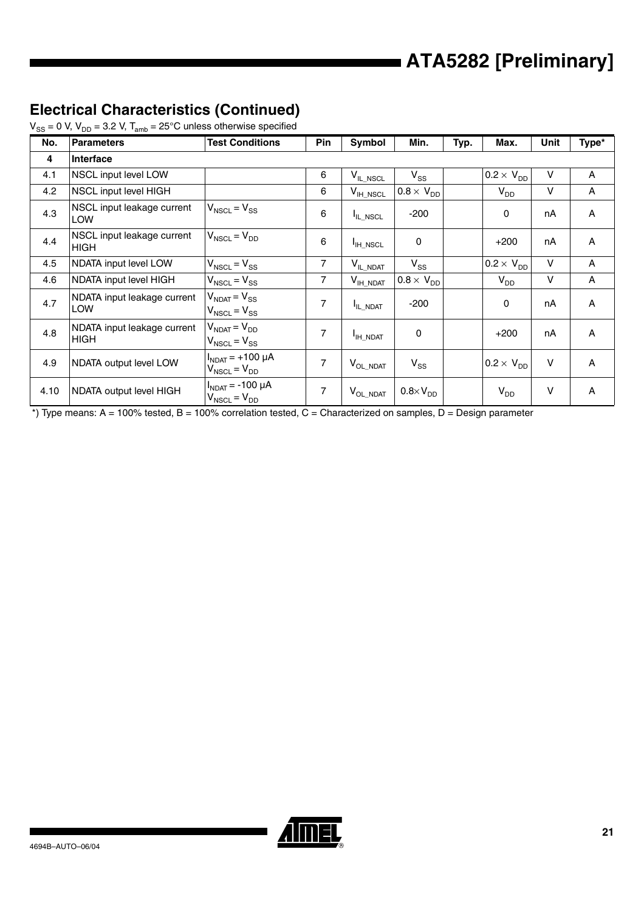# **Electrical Characteristics (Continued)**

| $V_{SS}$ = 0 V, $V_{DD}$ = 3.2 V, $T_{amb}$ = 25°C unless otherwise specified |  |  |
|-------------------------------------------------------------------------------|--|--|
|-------------------------------------------------------------------------------|--|--|

| No.  | <b>Parameters</b>                          | <b>Test Conditions</b>                           | Pin            | Symbol                           | Min.                | Typ. | Max.                | Unit   | Type* |
|------|--------------------------------------------|--------------------------------------------------|----------------|----------------------------------|---------------------|------|---------------------|--------|-------|
| 4    | Interface                                  |                                                  |                |                                  |                     |      |                     |        |       |
| 4.1  | NSCL input level LOW                       |                                                  | 6              | $V_{IL\_NSCL}$                   | $V_{SS}$            |      | $0.2 \times V_{DD}$ | $\vee$ | A     |
| 4.2  | NSCL input level HIGH                      |                                                  | 6              | $\mathsf{V}_{\mathsf{IH\_NSCL}}$ | $0.8 \times V_{DD}$ |      | $V_{DD}$            | V      | A     |
| 4.3  | NSCL input leakage current<br><b>LOW</b>   | $V_{NSCL} = V_{SS}$                              | 6              | IL_NSCL                          | $-200$              |      | $\Omega$            | nA     | A     |
| 4.4  | NSCL input leakage current<br>HIGH         | $V_{NSCL} = V_{DD}$                              | 6              | <b>I</b> H NSCL                  | 0                   |      | $+200$              | nA     | A     |
| 4.5  | NDATA input level LOW                      | $V_{NSCL} = V_{SS}$                              | $\overline{7}$ | ${\sf V}_{\sf IL\_NDAT}$         | $V_{SS}$            |      | $0.2 \times V_{DD}$ | $\vee$ | A     |
| 4.6  | NDATA input level HIGH                     | $V_{NSCL} = V_{SS}$                              | 7              | $V_{IH\_NDAT}$                   | $0.8 \times V_{DD}$ |      | $V_{DD}$            | V      | A     |
| 4.7  | NDATA input leakage current<br>LOW         | $V_{NDAT} = V_{SS}$<br>$V_{NSCL} = V_{SS}$       | 7              | IL NDAT                          | $-200$              |      | $\Omega$            | nA     | A     |
| 4.8  | NDATA input leakage current<br><b>HIGH</b> | $V_{NDAT} = V_{DD}$<br>$V_{NSCL} = V_{SS}$       | 7              | I <sub>IH_NDAT</sub>             | 0                   |      | $+200$              | nA     | A     |
| 4.9  | NDATA output level LOW                     | $I_{NDAT}$ = +100 $\mu$ A<br>$V_{NSCL} = V_{DD}$ | 7              | $\rm V_{OL\_NDAT}$               | $V_{SS}$            |      | $0.2 \times V_{DD}$ | $\vee$ | A     |
| 4.10 | NDATA output level HIGH                    | $I_{NDAT}$ = -100 $\mu$ A<br>$V_{NSCL} = V_{DD}$ | $\overline{7}$ | $V_{OL\_NDAT}$                   | $0.8\times V_{DD}$  |      | $V_{DD}$            | V      | Α     |

\*) Type means: A = 100% tested, B = 100% correlation tested, C = Characterized on samples, D = Design parameter

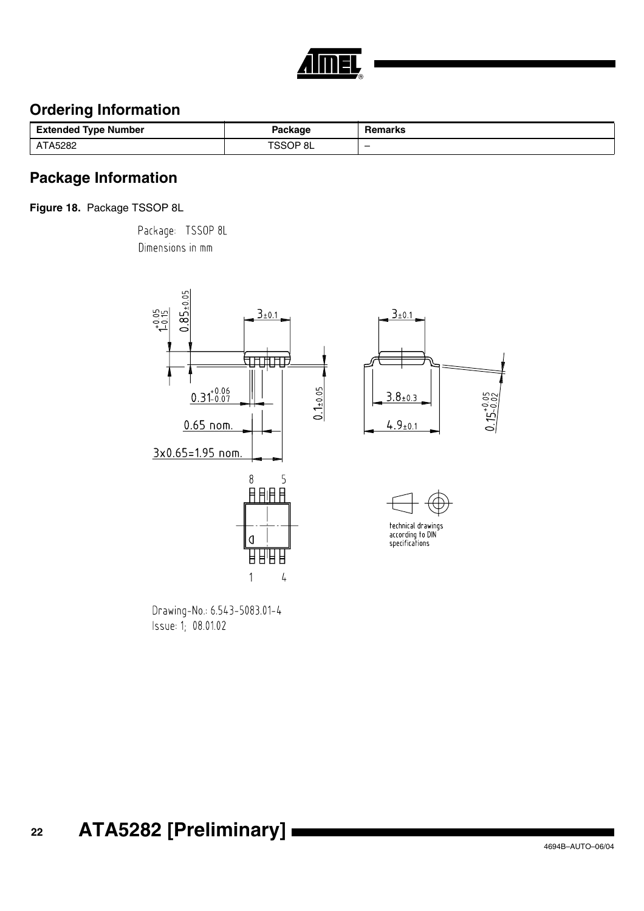

# **Ordering Information**

| <b>Extended Type Number</b> | ackage | Remarks                  |
|-----------------------------|--------|--------------------------|
| A5282                       | öL     | $\overline{\phantom{0}}$ |

## **Package Information**

**Figure 18.** Package TSSOP 8L

Package: TSSOP 8L Dimensions in mm



Drawing-No.: 6.543-5083.01-4 Issue: 1; 08.01.02